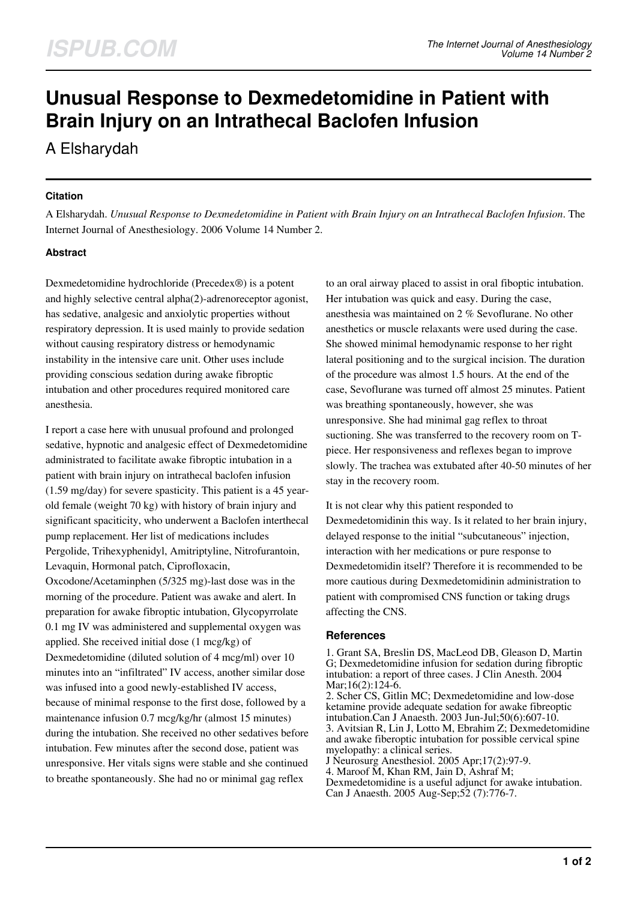# **Unusual Response to Dexmedetomidine in Patient with Brain Injury on an Intrathecal Baclofen Infusion**

A Elsharydah

## **Citation**

A Elsharydah. *Unusual Response to Dexmedetomidine in Patient with Brain Injury on an Intrathecal Baclofen Infusion*. The Internet Journal of Anesthesiology. 2006 Volume 14 Number 2.

# **Abstract**

Dexmedetomidine hydrochloride (Precedex®) is a potent and highly selective central alpha(2)-adrenoreceptor agonist, has sedative, analgesic and anxiolytic properties without respiratory depression. It is used mainly to provide sedation without causing respiratory distress or hemodynamic instability in the intensive care unit. Other uses include providing conscious sedation during awake fibroptic intubation and other procedures required monitored care anesthesia.

I report a case here with unusual profound and prolonged sedative, hypnotic and analgesic effect of Dexmedetomidine administrated to facilitate awake fibroptic intubation in a patient with brain injury on intrathecal baclofen infusion (1.59 mg/day) for severe spasticity. This patient is a 45 yearold female (weight 70 kg) with history of brain injury and significant spaciticity, who underwent a Baclofen interthecal pump replacement. Her list of medications includes Pergolide, Trihexyphenidyl, Amitriptyline, Nitrofurantoin, Levaquin, Hormonal patch, Ciprofloxacin, Oxcodone/Acetaminphen (5/325 mg)-last dose was in the morning of the procedure. Patient was awake and alert. In preparation for awake fibroptic intubation, Glycopyrrolate 0.1 mg IV was administered and supplemental oxygen was applied. She received initial dose (1 mcg/kg) of Dexmedetomidine (diluted solution of 4 mcg/ml) over 10 minutes into an "infiltrated" IV access, another similar dose was infused into a good newly-established IV access, because of minimal response to the first dose, followed by a maintenance infusion 0.7 mcg/kg/hr (almost 15 minutes) during the intubation. She received no other sedatives before intubation. Few minutes after the second dose, patient was unresponsive. Her vitals signs were stable and she continued to breathe spontaneously. She had no or minimal gag reflex

to an oral airway placed to assist in oral fiboptic intubation. Her intubation was quick and easy. During the case, anesthesia was maintained on 2 % Sevoflurane. No other anesthetics or muscle relaxants were used during the case. She showed minimal hemodynamic response to her right lateral positioning and to the surgical incision. The duration of the procedure was almost 1.5 hours. At the end of the case, Sevoflurane was turned off almost 25 minutes. Patient was breathing spontaneously, however, she was unresponsive. She had minimal gag reflex to throat suctioning. She was transferred to the recovery room on Tpiece. Her responsiveness and reflexes began to improve slowly. The trachea was extubated after 40-50 minutes of her stay in the recovery room.

It is not clear why this patient responded to Dexmedetomidinin this way. Is it related to her brain injury, delayed response to the initial "subcutaneous" injection, interaction with her medications or pure response to Dexmedetomidin itself? Therefore it is recommended to be more cautious during Dexmedetomidinin administration to patient with compromised CNS function or taking drugs affecting the CNS.

#### **References**

1. Grant SA, Breslin DS, MacLeod DB, Gleason D, Martin G; Dexmedetomidine infusion for sedation during fibroptic intubation: a report of three cases. J Clin Anesth. 2004 Mar;16(2):124-6.

2. Scher CS, Gitlin MC; Dexmedetomidine and low-dose ketamine provide adequate sedation for awake fibreoptic intubation.Can J Anaesth. 2003 Jun-Jul;50(6):607-10. 3. Avitsian R, Lin J, Lotto M, Ebrahim Z; Dexmedetomidine and awake fiberoptic intubation for possible cervical spine myelopathy: a clinical series.

J Neurosurg Anesthesiol. 2005 Apr;17(2):97-9.

4. Maroof M, Khan RM, Jain D, Ashraf M;

Dexmedetomidine is a useful adjunct for awake intubation. Can J Anaesth. 2005 Aug-Sep;52 (7):776-7.